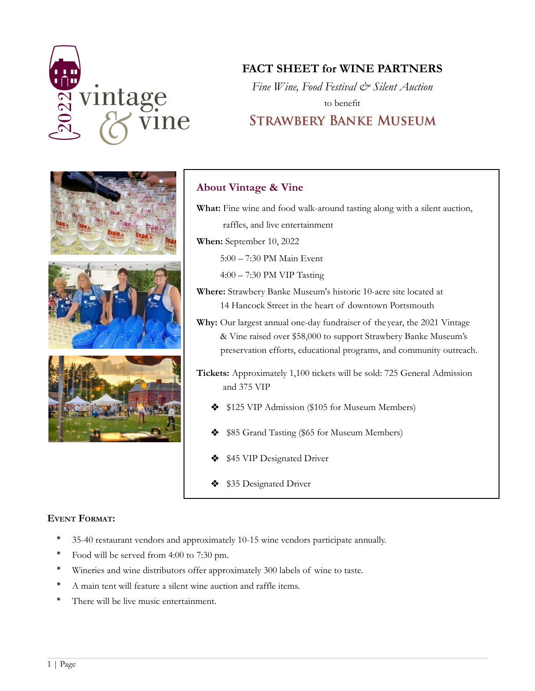

# **FACT SHEET for WINE PARTNERS**

*Fine Wine, Food Festival & Silent Auction* to benefit **STRAWBERY BANKE MUSEUM** 



### **About Vintage & Vine**

raffles, and live entertainment **When:** September 10, 2022 5:00 – 7:30 PM Main Event 4:00 – 7:30 PM VIP Tasting **Where:** Strawbery Banke Museum's historic 10-acre site located at 14 Hancock Street in the heart of downtown Portsmouth **Why:** Our largest annual one-day fundraiser of the year, the 2021 Vintage

**What:** Fine wine and food walk-around tasting along with a silent auction,

& Vine raised over \$58,000 to support Strawbery Banke Museum's preservation efforts, educational programs, and community outreach.

**Tickets:** Approximately 1,100 tickets will be sold: 725 General Admission and 375 VIP

- ❖ \$125 VIP Admission (\$105 for Museum Members)
- ❖ \$85 Grand Tasting (\$65 for Museum Members)
- ❖ \$45 VIP Designated Driver
- ❖ \$35 Designated Driver

#### **EVENT FORMAT:**

- \* 35-40 restaurant vendors and approximately 10-15 wine vendors participate annually.
- Food will be served from 4:00 to 7:30 pm.
- Wineries and wine distributors offer approximately 300 labels of wine to taste.
- A main tent will feature a silent wine auction and raffle items.
- \* There will be live music entertainment.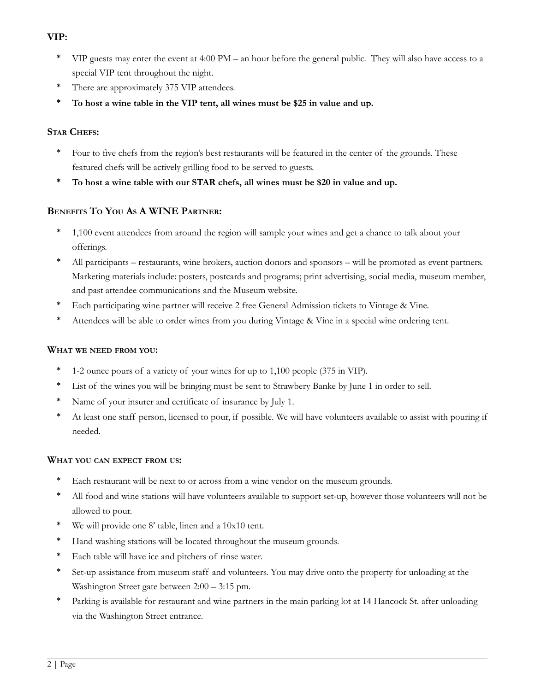#### **VIP:**

- \* VIP guests may enter the event at 4:00 PM an hour before the general public. They will also have access to a special VIP tent throughout the night.
- \* There are approximately 375 VIP attendees.
- **\* To host a wine table in the VIP tent, all wines must be \$25 in value and up.**

#### **STAR CHEFS:**

- Four to five chefs from the region's best restaurants will be featured in the center of the grounds. These featured chefs will be actively grilling food to be served to guests.
- **\* To host a wine table with our STAR chefs, all wines must be \$20 in value and up.**

#### **BENEFITS T<sup>O</sup> YOU A<sup>S</sup> A WINE PARTNER:**

- 1,100 event attendees from around the region will sample your wines and get a chance to talk about your offerings.
- All participants restaurants, wine brokers, auction donors and sponsors will be promoted as event partners. Marketing materials include: posters, postcards and programs; print advertising, social media, museum member, and past attendee communications and the Museum website.
- Each participating wine partner will receive 2 free General Admission tickets to Vintage & Vine.
- \* Attendees will be able to order wines from you during Vintage & Vine in a special wine ordering tent.

#### **WHAT WE NEED FROM YOU:**

- \* 1-2 ounce pours of a variety of your wines for up to 1,100 people (375 in VIP).
- \* List of the wines you will be bringing must be sent to Strawbery Banke by June 1 in order to sell.
- Name of your insurer and certificate of insurance by July 1.
- At least one staff person, licensed to pour, if possible. We will have volunteers available to assist with pouring if needed.

#### **WHAT YOU CAN EXPECT FROM US:**

- \* Each restaurant will be next to or across from a wine vendor on the museum grounds.
- \* All food and wine stations will have volunteers available to support set-up, however those volunteers will not be allowed to pour.
- \* We will provide one 8' table, linen and a 10x10 tent.
- \* Hand washing stations will be located throughout the museum grounds.
- \* Each table will have ice and pitchers of rinse water.
- \* Set-up assistance from museum staff and volunteers. You may drive onto the property for unloading at the Washington Street gate between 2:00 – 3:15 pm.
- Parking is available for restaurant and wine partners in the main parking lot at 14 Hancock St. after unloading via the Washington Street entrance.